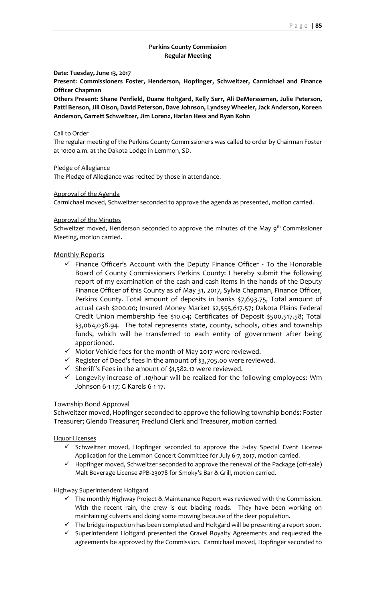## **Perkins County Commission Regular Meeting**

## **Date: Tuesday, June 13, 2017**

**Present: Commissioners Foster, Henderson, Hopfinger, Schweitzer, Carmichael and Finance Officer Chapman** 

**Others Present: Shane Penfield, Duane Holtgard, Kelly Serr, Ali DeMersseman, Julie Peterson, Patti Benson, Jill Olson, David Peterson, Dave Johnson, Lyndsey Wheeler, Jack Anderson, Koreen Anderson, Garrett Schweitzer, Jim Lorenz, Harlan Hess and Ryan Kohn**

#### Call to Order

The regular meeting of the Perkins County Commissioners was called to order by Chairman Foster at 10:00 a.m. at the Dakota Lodge in Lemmon, SD.

## Pledge of Allegiance

The Pledge of Allegiance was recited by those in attendance.

#### Approval of the Agenda

Carmichael moved, Schweitzer seconded to approve the agenda as presented, motion carried.

#### Approval of the Minutes

Schweitzer moved, Henderson seconded to approve the minutes of the May  $9<sup>th</sup>$  Commissioner Meeting, motion carried.

## Monthly Reports

- $\checkmark$  Finance Officer's Account with the Deputy Finance Officer To the Honorable Board of County Commissioners Perkins County: I hereby submit the following report of my examination of the cash and cash items in the hands of the Deputy Finance Officer of this County as of May 31, 2017, Sylvia Chapman, Finance Officer, Perkins County. Total amount of deposits in banks \$7,693.75, Total amount of actual cash \$200.00; Insured Money Market \$2,555,617.57; Dakota Plains Federal Credit Union membership fee \$10.04; Certificates of Deposit \$500,517.58; Total \$3,064,038.94. The total represents state, county, schools, cities and township funds, which will be transferred to each entity of government after being apportioned.
- ✓ Motor Vehicle fees for the month of May 2017 were reviewed.
- $\checkmark$  Register of Deed's fees in the amount of \$3,705.00 were reviewed.
- $\checkmark$  Sheriff's Fees in the amount of \$1,582.12 were reviewed.
- ✓ Longevity increase of .10/hour will be realized for the following employees: Wm Johnson 6-1-17; G Karels 6-1-17.

## Township Bond Approval

Schweitzer moved, Hopfinger seconded to approve the following township bonds: Foster Treasurer; Glendo Treasurer; Fredlund Clerk and Treasurer, motion carried.

## Liquor Licenses

- ✓ Schweitzer moved, Hopfinger seconded to approve the 2-day Special Event License Application for the Lemmon Concert Committee for July 6-7, 2017, motion carried.
- ✓ Hopfinger moved, Schweitzer seconded to approve the renewal of the Package (off-sale) Malt Beverage License #PB-23078 for Smoky's Bar & Grill, motion carried.

## Highway Superintendent Holtgard

- $\checkmark$  The monthly Highway Project & Maintenance Report was reviewed with the Commission. With the recent rain, the crew is out blading roads. They have been working on maintaining culverts and doing some mowing because of the deer population.
- $\checkmark$  The bridge inspection has been completed and Holtgard will be presenting a report soon.
- ✓ Superintendent Holtgard presented the Gravel Royalty Agreements and requested the agreements be approved by the Commission. Carmichael moved, Hopfinger seconded to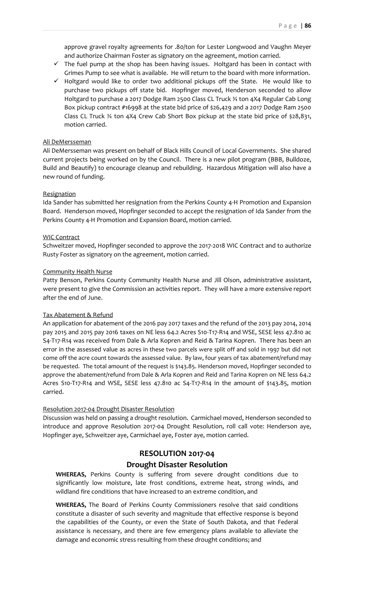approve gravel royalty agreements for .80/ton for Lester Longwood and Vaughn Meyer and authorize Chairman Foster as signatory on the agreement, motion carried.

- $\checkmark$  The fuel pump at the shop has been having issues. Holtgard has been in contact with Grimes Pump to see what is available. He will return to the board with more information.
- ✓ Holtgard would like to order two additional pickups off the State. He would like to purchase two pickups off state bid. Hopfinger moved, Henderson seconded to allow Holtgard to purchase a 2017 Dodge Ram 2500 Class CL Truck ¾ ton 4X4 Regular Cab Long Box pickup contract #16998 at the state bid price of \$26,429 and a 2017 Dodge Ram 2500 Class CL Truck ¾ ton 4X4 Crew Cab Short Box pickup at the state bid price of \$28,831, motion carried.

## Ali DeMersseman

Ali DeMersseman was present on behalf of Black Hills Council of Local Governments. She shared current projects being worked on by the Council. There is a new pilot program (BBB, Bulldoze, Build and Beautify) to encourage cleanup and rebuilding. Hazardous Mitigation will also have a new round of funding.

#### **Resignation**

Ida Sander has submitted her resignation from the Perkins County 4-H Promotion and Expansion Board. Henderson moved, Hopfinger seconded to accept the resignation of Ida Sander from the Perkins County 4-H Promotion and Expansion Board, motion carried.

#### WIC Contract

Schweitzer moved, Hopfinger seconded to approve the 2017-2018 WIC Contract and to authorize Rusty Foster as signatory on the agreement, motion carried.

#### Community Health Nurse

Patty Benson, Perkins County Community Health Nurse and Jill Olson, administrative assistant, were present to give the Commission an activities report. They will have a more extensive report after the end of June.

## Tax Abatement & Refund

An application for abatement of the 2016 pay 2017 taxes and the refund of the 2013 pay 2014, 2014 pay 2015 and 2015 pay 2016 taxes on NE less 64.2 Acres S10-T17-R14 and WSE, SESE less 47.810 ac S4-T17-R14 was received from Dale & Arla Kopren and Reid & Tarina Kopren. There has been an error in the assessed value as acres in these two parcels were split off and sold in 1997 but did not come off the acre count towards the assessed value. By law, four years of tax abatement/refund may be requested. The total amount of the request is \$143.85. Henderson moved, Hopfinger seconded to approve the abatement/refund from Dale & Arla Kopren and Reid and Tarina Kopren on NE less 64.2 Acres S10-T17-R14 and WSE, SESE less 47.810 ac S4-T17-R14 in the amount of \$143.85, motion carried.

## Resolution 2017-04 Drought Disaster Resolution

Discussion was held on passing a drought resolution. Carmichael moved, Henderson seconded to introduce and approve Resolution 2017-04 Drought Resolution, roll call vote: Henderson aye, Hopfinger aye, Schweitzer aye, Carmichael aye, Foster aye, motion carried.

# **RESOLUTION 2017-04 Drought Disaster Resolution**

**WHEREAS,** Perkins County is suffering from severe drought conditions due to significantly low moisture, late frost conditions, extreme heat, strong winds, and wildland fire conditions that have increased to an extreme condition, and

**WHEREAS,** The Board of Perkins County Commissioners resolve that said conditions constitute a disaster of such severity and magnitude that effective response is beyond the capabilities of the County, or even the State of South Dakota, and that Federal assistance is necessary, and there are few emergency plans available to alleviate the damage and economic stress resulting from these drought conditions; and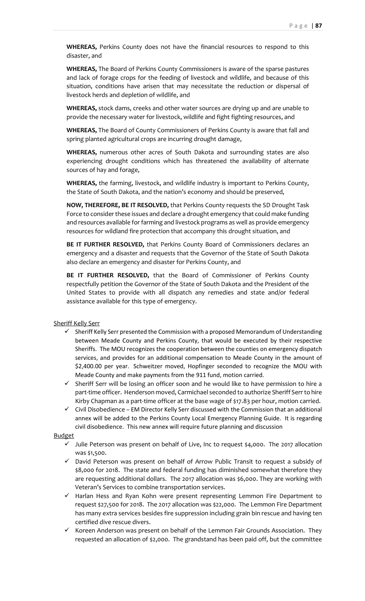**WHEREAS,** Perkins County does not have the financial resources to respond to this disaster, and

**WHEREAS,** The Board of Perkins County Commissioners is aware of the sparse pastures and lack of forage crops for the feeding of livestock and wildlife, and because of this situation, conditions have arisen that may necessitate the reduction or dispersal of livestock herds and depletion of wildlife, and

**WHEREAS,** stock dams, creeks and other water sources are drying up and are unable to provide the necessary water for livestock, wildlife and fight fighting resources, and

**WHEREAS,** The Board of County Commissioners of Perkins County is aware that fall and spring planted agricultural crops are incurring drought damage,

**WHEREAS,** numerous other acres of South Dakota and surrounding states are also experiencing drought conditions which has threatened the availability of alternate sources of hay and forage,

**WHEREAS,** the farming, livestock, and wildlife industry is important to Perkins County, the State of South Dakota, and the nation's economy and should be preserved,

**NOW, THEREFORE, BE IT RESOLVED,** that Perkins County requests the SD Drought Task Force to consider these issues and declare a drought emergency that could make funding and resources available for farming and livestock programs as well as provide emergency resources for wildland fire protection that accompany this drought situation, and

**BE IT FURTHER RESOLVED,** that Perkins County Board of Commissioners declares an emergency and a disaster and requests that the Governor of the State of South Dakota also declare an emergency and disaster for Perkins County, and

**BE IT FURTHER RESOLVED,** that the Board of Commissioner of Perkins County respectfully petition the Governor of the State of South Dakota and the President of the United States to provide with all dispatch any remedies and state and/or federal assistance available for this type of emergency.

Sheriff Kelly Serr

- $\checkmark$  Sheriff Kelly Serr presented the Commission with a proposed Memorandum of Understanding between Meade County and Perkins County, that would be executed by their respective Sheriffs. The MOU recognizes the cooperation between the counties on emergency dispatch services, and provides for an additional compensation to Meade County in the amount of \$2,400.00 per year. Schweitzer moved, Hopfinger seconded to recognize the MOU with Meade County and make payments from the 911 fund, motion carried.
- ✓ Sheriff Serr will be losing an officer soon and he would like to have permission to hire a part-time officer. Henderson moved, Carmichael seconded to authorize Sheriff Serr to hire Kirby Chapman as a part-time officer at the base wage of \$17.83 per hour, motion carried.
- $\checkmark$  Civil Disobedience EM Director Kelly Serr discussed with the Commission that an additional annex will be added to the Perkins County Local Emergency Planning Guide. It is regarding civil disobedience. This new annex will require future planning and discussion

#### Budget

- $\checkmark$  Julie Peterson was present on behalf of Live, Inc to request \$4,000. The 2017 allocation was \$1,500.
- ✓ David Peterson was present on behalf of Arrow Public Transit to request a subsidy of \$8,000 for 2018. The state and federal funding has diminished somewhat therefore they are requesting additional dollars. The 2017 allocation was \$6,000. They are working with Veteran's Services to combine transportation services.
- ✓ Harlan Hess and Ryan Kohn were present representing Lemmon Fire Department to request \$27,500 for 2018. The 2017 allocation was \$22,000. The Lemmon Fire Department has many extra services besides fire suppression including grain bin rescue and having ten certified dive rescue divers.
- $\checkmark$  Koreen Anderson was present on behalf of the Lemmon Fair Grounds Association. They requested an allocation of \$2,000. The grandstand has been paid off, but the committee